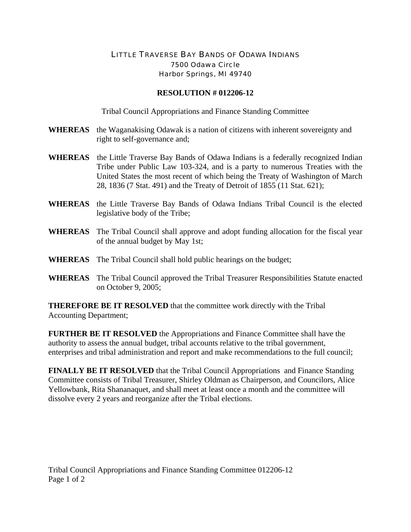## LITTLE TRAVERSE BAY BANDS OF ODAWA INDIANS 7500 Odawa Circle Harbor Springs, MI 49740

## **RESOLUTION # 012206-12**

Tribal Council Appropriations and Finance Standing Committee

- **WHEREAS** the Waganakising Odawak is a nation of citizens with inherent sovereignty and right to self-governance and;
- **WHEREAS** the Little Traverse Bay Bands of Odawa Indians is a federally recognized Indian Tribe under Public Law 103-324, and is a party to numerous Treaties with the United States the most recent of which being the Treaty of Washington of March 28, 1836 (7 Stat. 491) and the Treaty of Detroit of 1855 (11 Stat. 621);
- **WHEREAS** the Little Traverse Bay Bands of Odawa Indians Tribal Council is the elected legislative body of the Tribe;
- **WHEREAS** The Tribal Council shall approve and adopt funding allocation for the fiscal year of the annual budget by May 1st;
- **WHEREAS** The Tribal Council shall hold public hearings on the budget;
- **WHEREAS** The Tribal Council approved the Tribal Treasurer Responsibilities Statute enacted on October 9, 2005;

**THEREFORE BE IT RESOLVED** that the committee work directly with the Tribal Accounting Department;

**FURTHER BE IT RESOLVED** the Appropriations and Finance Committee shall have the authority to assess the annual budget, tribal accounts relative to the tribal government, enterprises and tribal administration and report and make recommendations to the full council;

**FINALLY BE IT RESOLVED** that the Tribal Council Appropriations and Finance Standing Committee consists of Tribal Treasurer, Shirley Oldman as Chairperson, and Councilors, Alice Yellowbank, Rita Shananaquet, and shall meet at least once a month and the committee will dissolve every 2 years and reorganize after the Tribal elections.